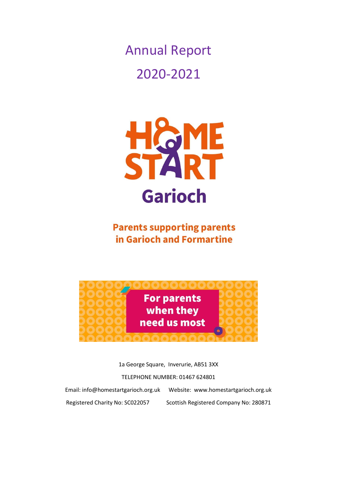Annual Report 2020-2021



**Parents supporting parents** in Garioch and Formartine



1a George Square, Inverurie, AB51 3XX

#### TELEPHONE NUMBER: 01467 624801

Email: info@homestartgarioch.org.uk Website: www.homestartgarioch.org.uk Registered Charity No: SC022057 Scottish Registered Company No: 280871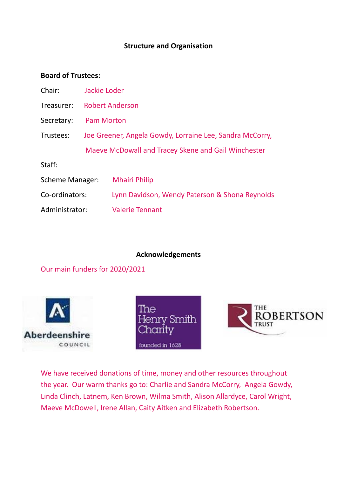### **Structure and Organisation**

#### **Board of Trustees:**

| Chair:          | Jackie Loder                                             |                                                     |
|-----------------|----------------------------------------------------------|-----------------------------------------------------|
| Treasurer:      | <b>Robert Anderson</b>                                   |                                                     |
| Secretary:      | <b>Pam Morton</b>                                        |                                                     |
| Trustees:       | Joe Greener, Angela Gowdy, Lorraine Lee, Sandra McCorry, |                                                     |
|                 |                                                          | Maeve McDowall and Tracey Skene and Gail Winchester |
| Staff:          |                                                          |                                                     |
| Scheme Manager: |                                                          | <b>Mhairi Philip</b>                                |
| Co-ordinators:  |                                                          | Lynn Davidson, Wendy Paterson & Shona Reynolds      |
| Administrator:  |                                                          | <b>Valerie Tennant</b>                              |
|                 |                                                          |                                                     |

#### **Acknowledgements**

Our main funders for 2020/2021







We have received donations of time, money and other resources throughout the year. Our warm thanks go to: Charlie and Sandra McCorry, Angela Gowdy, Linda Clinch, Latnem, Ken Brown, Wilma Smith, Alison Allardyce, Carol Wright, Maeve McDowell, Irene Allan, Caity Aitken and Elizabeth Robertson.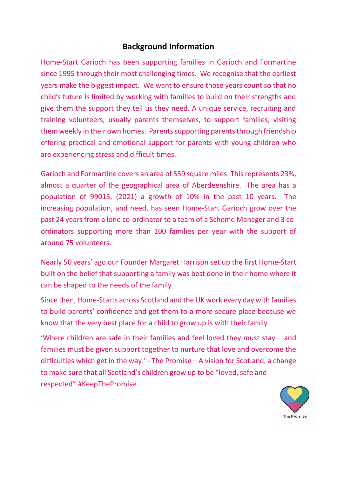### **Background Information**

Home-Start Garioch has been supporting families in Garioch and Formartine since 1995 through their most challenging times. We recognise that the earliest years make the biggest impact. We want to ensure those years count so that no child's future is limited by working with families to build on their strengths and give them the support they tell us they need. A unique service, recruiting and training volunteers, usually parents themselves, to support families, visiting them weekly in their own homes. Parents supporting parents through friendship offering practical and emotional support for parents with young children who are experiencing stress and difficult times.

Garioch and Formartine covers an area of 559 square miles. This represents 23%, almost a quarter of the geographical area of Aberdeenshire. The area has a population of 99015, (2021) a growth of 10% in the past 10 years. The increasing population, and need, has seen Home-Start Garioch grow over the past 24 years from a lone co-ordinator to a team of a Scheme Manager and 3 coordinators supporting more than 100 families per year with the support of around 75 volunteers.

Nearly 50 years' ago our Founder Margaret Harrison set up the first Home-Start built on the belief that supporting a family was best done in their home where it can be shaped to the needs of the family.

Since then, Home-Starts across Scotland and the UK work every day with families to build parents' confidence and get them to a more secure place because we know that the very best place for a child to grow up is with their family.

'Where children are safe in their families and feel loved they must stay – and families must be given support together to nurture that love and overcome the difficulties which get in the way.' - The Promise – A vision for Scotland, a change to make sure that all Scotland's children grow up to be "loved, safe and respected" #KeepThePromise

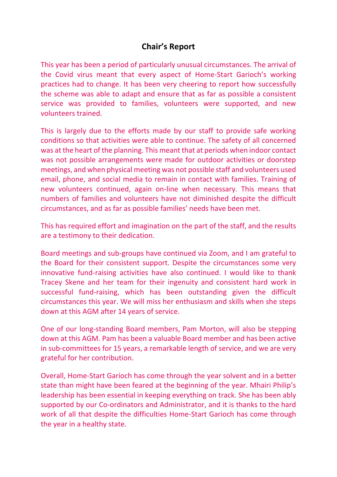## **Chair's Report**

This year has been a period of particularly unusual circumstances. The arrival of the Covid virus meant that every aspect of Home-Start Garioch's working practices had to change. It has been very cheering to report how successfully the scheme was able to adapt and ensure that as far as possible a consistent service was provided to families, volunteers were supported, and new volunteers trained.

This is largely due to the efforts made by our staff to provide safe working conditions so that activities were able to continue. The safety of all concerned was at the heart of the planning. This meant that at periods when indoor contact was not possible arrangements were made for outdoor activities or doorstep meetings, and when physical meeting was not possible staff and volunteers used email, phone, and social media to remain in contact with families. Training of new volunteers continued, again on-line when necessary. This means that numbers of families and volunteers have not diminished despite the difficult circumstances, and as far as possible families' needs have been met.

This has required effort and imagination on the part of the staff, and the results are a testimony to their dedication.

Board meetings and sub-groups have continued via Zoom, and I am grateful to the Board for their consistent support. Despite the circumstances some very innovative fund-raising activities have also continued. I would like to thank Tracey Skene and her team for their ingenuity and consistent hard work in successful fund-raising, which has been outstanding given the difficult circumstances this year. We will miss her enthusiasm and skills when she steps down at this AGM after 14 years of service.

One of our long-standing Board members, Pam Morton, will also be stepping down at this AGM. Pam has been a valuable Board member and has been active in sub-committees for 15 years, a remarkable length of service, and we are very grateful for her contribution.

Overall, Home-Start Garioch has come through the year solvent and in a better state than might have been feared at the beginning of the year. Mhairi Philip's leadership has been essential in keeping everything on track. She has been ably supported by our Co-ordinators and Administrator, and it is thanks to the hard work of all that despite the difficulties Home-Start Garioch has come through the year in a healthy state.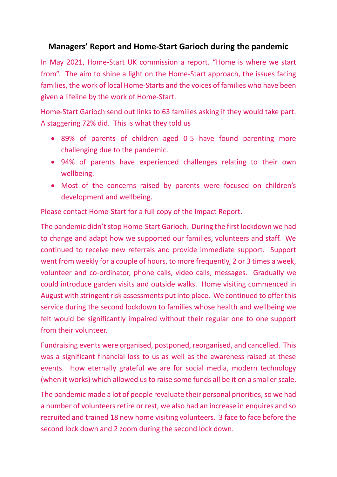## **Managers' Report and Home-Start Garioch during the pandemic**

In May 2021, Home-Start UK commission a report. "Home is where we start from". The aim to shine a light on the Home-Start approach, the issues facing families, the work of local Home-Starts and the voices of families who have been given a lifeline by the work of Home-Start.

Home-Start Garioch send out links to 63 families asking if they would take part. A staggering 72% did. This is what they told us

- 89% of parents of children aged 0-5 have found parenting more challenging due to the pandemic.
- 94% of parents have experienced challenges relating to their own wellbeing.
- Most of the concerns raised by parents were focused on children's development and wellbeing.

Please contact Home-Start for a full copy of the Impact Report.

The pandemic didn't stop Home-Start Garioch. During the first lockdown we had to change and adapt how we supported our families, volunteers and staff. We continued to receive new referrals and provide immediate support. Support went from weekly for a couple of hours, to more frequently, 2 or 3 times a week, volunteer and co-ordinator, phone calls, video calls, messages. Gradually we could introduce garden visits and outside walks. Home visiting commenced in August with stringent risk assessments put into place. We continued to offer this service during the second lockdown to families whose health and wellbeing we felt would be significantly impaired without their regular one to one support from their volunteer.

Fundraising events were organised, postponed, reorganised, and cancelled. This was a significant financial loss to us as well as the awareness raised at these events. How eternally grateful we are for social media, modern technology (when it works) which allowed us to raise some funds all be it on a smaller scale.

The pandemic made a lot of people revaluate their personal priorities, so we had a number of volunteers retire or rest, we also had an increase in enquires and so recruited and trained 18 new home visiting volunteers. 3 face to face before the second lock down and 2 zoom during the second lock down.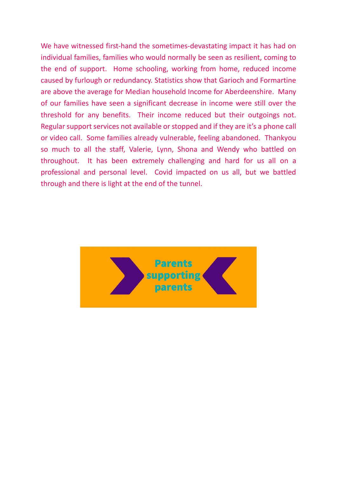We have witnessed first-hand the sometimes-devastating impact it has had on individual families, families who would normally be seen as resilient, coming to the end of support. Home schooling, working from home, reduced income caused by furlough or redundancy. Statistics show that Garioch and Formartine are above the average for Median household Income for Aberdeenshire. Many of our families have seen a significant decrease in income were still over the threshold for any benefits. Their income reduced but their outgoings not. Regular support services not available or stopped and if they are it's a phone call or video call. Some families already vulnerable, feeling abandoned. Thankyou so much to all the staff, Valerie, Lynn, Shona and Wendy who battled on throughout. It has been extremely challenging and hard for us all on a professional and personal level. Covid impacted on us all, but we battled through and there is light at the end of the tunnel.

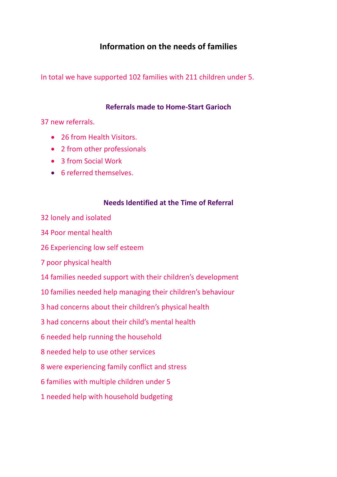## **Information on the needs of families**

In total we have supported 102 families with 211 children under 5.

### **Referrals made to Home-Start Garioch**

37 new referrals.

- 26 from Health Visitors.
- 2 from other professionals
- 3 from Social Work
- 6 referred themselves.

#### **Needs Identified at the Time of Referral**

- 32 lonely and isolated
- 34 Poor mental health
- 26 Experiencing low self esteem
- 7 poor physical health
- 14 families needed support with their children's development
- 10 families needed help managing their children's behaviour
- 3 had concerns about their children's physical health
- 3 had concerns about their child's mental health
- 6 needed help running the household
- 8 needed help to use other services
- 8 were experiencing family conflict and stress
- 6 families with multiple children under 5
- 1 needed help with household budgeting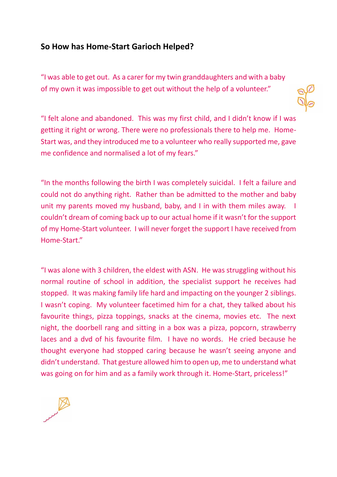### **So How has Home-Start Garioch Helped?**

"I was able to get out. As a carer for my twin granddaughters and with a baby of my own it was impossible to get out without the help of a volunteer."



"I felt alone and abandoned. This was my first child, and I didn't know if I was getting it right or wrong. There were no professionals there to help me. Home-Start was, and they introduced me to a volunteer who really supported me, gave me confidence and normalised a lot of my fears."

"In the months following the birth I was completely suicidal. I felt a failure and could not do anything right. Rather than be admitted to the mother and baby unit my parents moved my husband, baby, and I in with them miles away. I couldn't dream of coming back up to our actual home if it wasn't for the support of my Home-Start volunteer. I will never forget the support I have received from Home-Start."

"I was alone with 3 children, the eldest with ASN. He was struggling without his normal routine of school in addition, the specialist support he receives had stopped. It was making family life hard and impacting on the younger 2 siblings. I wasn't coping. My volunteer facetimed him for a chat, they talked about his favourite things, pizza toppings, snacks at the cinema, movies etc. The next night, the doorbell rang and sitting in a box was a pizza, popcorn, strawberry laces and a dvd of his favourite film. I have no words. He cried because he thought everyone had stopped caring because he wasn't seeing anyone and didn't understand. That gesture allowed him to open up, me to understand what was going on for him and as a family work through it. Home-Start, priceless!"

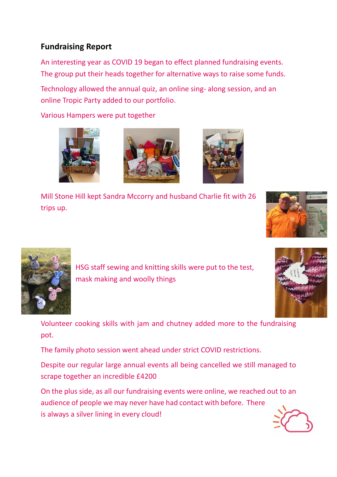# **Fundraising Report**

An interesting year as COVID 19 began to effect planned fundraising events. The group put their heads together for alternative ways to raise some funds.

Technology allowed the annual quiz, an online sing- along session, and an online Tropic Party added to our portfolio.

Various Hampers were put together







Mill Stone Hill kept Sandra Mccorry and husband Charlie fit with 26 trips up.





HSG staff sewing and knitting skills were put to the test, mask making and woolly things



Volunteer cooking skills with jam and chutney added more to the fundraising pot.

The family photo session went ahead under strict COVID restrictions.

Despite our regular large annual events all being cancelled we still managed to scrape together an incredible £4200

On the plus side, as all our fundraising events were online, we reached out to an audience of people we may never have had contact with before. There is always a silver lining in every cloud!